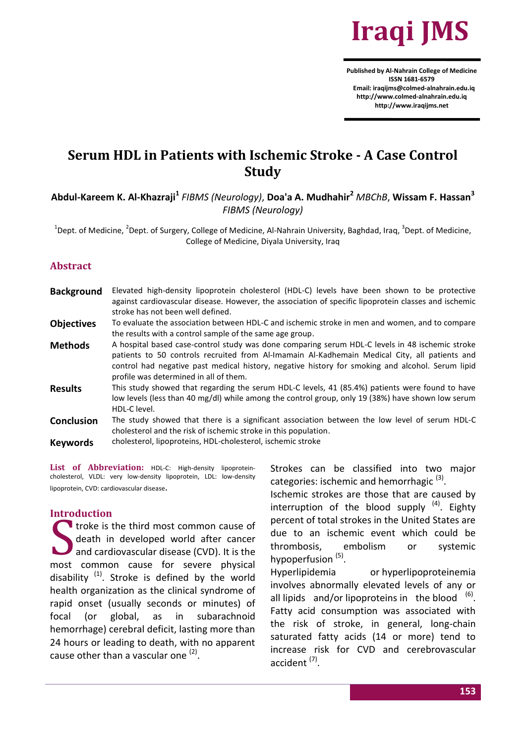

**Published by Al-Nahrain College of Medicine ISSN 1681-6579 Email: iraqijms@colmed-alnahrain.edu.iq http://www.colmed-alnahrain.edu.iq [http://www.iraqijms.net](http://www.iraqijms.net/)**

# **Serum HDL in Patients with Ischemic Stroke - A Case Control Study**

**Abdul-Kareem K. Al-Khazraji<sup>1</sup>** *FIBMS (Neurology)*, **Doa'a A. Mudhahir<sup>2</sup>** *MBChB*, **Wissam F. Hassan<sup>3</sup>** *FIBMS (Neurology)*

 $^1$ Dept. of Medicine,  $^2$ Dept. of Surgery, College of Medicine, Al-Nahrain University, Baghdad, Iraq,  $^3$ Dept. of Medicine, College of Medicine, Diyala University, Iraq

# **Abstract**

| <b>Background</b> | Elevated high-density lipoprotein cholesterol (HDL-C) levels have been shown to be protective         |
|-------------------|-------------------------------------------------------------------------------------------------------|
|                   | against cardiovascular disease. However, the association of specific lipoprotein classes and ischemic |
|                   | stroke has not been well defined.                                                                     |
| <b>Objectives</b> | To evaluate the association between HDL-C and ischemic stroke in men and women, and to compare        |
|                   | the results with a control sample of the same age group.                                              |
| <b>Methods</b>    | A hospital based case-control study was done comparing serum HDL-C levels in 48 ischemic stroke       |
|                   | patients to 50 controls recruited from Al-Imamain Al-Kadhemain Medical City, all patients and         |
|                   | control had negative past medical history, negative history for smoking and alcohol. Serum lipid      |
|                   | profile was determined in all of them.                                                                |
| <b>Results</b>    | This study showed that regarding the serum HDL-C levels, 41 (85.4%) patients were found to have       |
|                   | low levels (less than 40 mg/dl) while among the control group, only 19 (38%) have shown low serum     |
|                   | HDL-C level.                                                                                          |
| <b>Conclusion</b> | The study showed that there is a significant association between the low level of serum HDL-C         |
|                   | cholesterol and the risk of ischemic stroke in this population.                                       |

**Keywords** cholesterol, lipoproteins, HDL-cholesterol, ischemic stroke

List of Abbreviation: HDL-C: High-density lipoproteincholesterol, VLDL: very low-density lipoprotein, LDL: low-density lipoprotein, CVD: cardiovascular disease.

#### **Introduction**

troke is the third most common cause of death in developed world after cancer and cardiovascular disease (CVD). It is the most common cause for severe physical disability  $(1)$ . Stroke is defined by the world health organization as the clinical syndrome of rapid onset (usually seconds or minutes) of focal (or global, as in subarachnoid hemorrhage) cerebral deficit, lasting more than 24 hours or leading to death, with no apparent cause other than a vascular one <sup>(2)</sup>. S<sub>not</sub>

Strokes can be classified into two major categories: ischemic and hemorrhagic<sup>(3)</sup>.

Ischemic strokes are those that are caused by interruption of the blood supply <sup>(4)</sup>. Eighty percent of total strokes in the United States are due to an ischemic event which could be thrombosis, embolism or systemic hypoperfusion<sup>(5)</sup>.

Hyperlipidemia or hyperlipoproteinemia involves abnormally elevated levels of any or all [lipids](http://en.wikipedia.org/wiki/Lipid)  $and/or lipoproteins in the blood<sup>(6)</sup>.$  $and/or lipoproteins in the blood<sup>(6)</sup>.$  $and/or lipoproteins in the blood<sup>(6)</sup>.$  $and/or lipoproteins in the blood<sup>(6)</sup>.$  $and/or lipoproteins in the blood<sup>(6)</sup>.$ Fatty acid consumption was associated with the risk of stroke, in general, long-chain saturated fatty acids (14 or more) tend to increase risk for CVD and cerebrovascular accident<sup>(7)</sup>.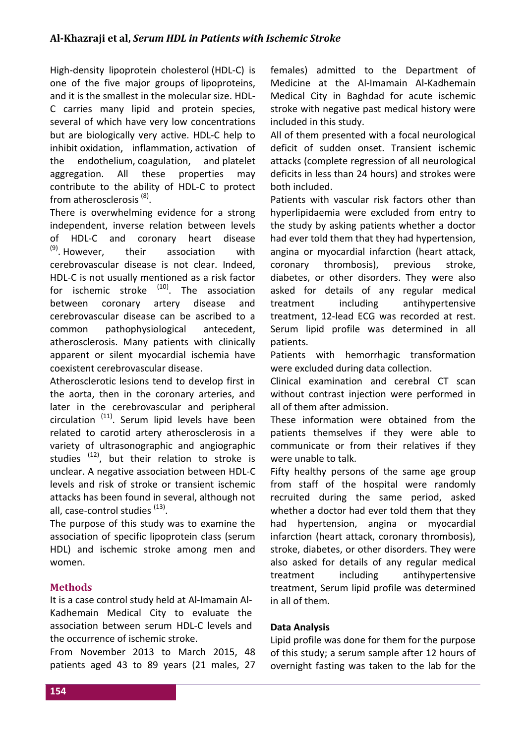High-density lipoprotein cholesterol (HDL-C) is one of the five major groups of [lipoproteins,](http://en.wikipedia.org/wiki/Lipoprotein) and it is the smallest in the molecular size. HDL-C carries many lipid and protein species, several of which have very low concentrations but are biologically very active. HDL-C help to inhibit [oxidation,](http://en.wikipedia.org/wiki/Oxidation) [inflammation,](http://en.wikipedia.org/wiki/Inflammation) [activation of](http://en.wikipedia.org/wiki/Endothelium)  [the endothelium,](http://en.wikipedia.org/wiki/Endothelium) [coagulation,](http://en.wikipedia.org/wiki/Coagulation) and [platelet](http://en.wikipedia.org/wiki/Platelet)  [aggregation.](http://en.wikipedia.org/wiki/Platelet) All these properties may contribute to the ability of HDL-C to protect from atherosclerosis<sup>(8)</sup>.

There is overwhelming evidence for a strong independent, inverse relation between levels of HDL-C and coronary heart disease  $(9)$ . However. their association with cerebrovascular disease is not clear. Indeed, HDL-C is not usually mentioned as a risk factor for ischemic stroke <sup>(10)</sup>. The association between coronary artery disease and cerebrovascular disease can be ascribed to a common pathophysiological antecedent, atherosclerosis. Many patients with clinically apparent or silent myocardial ischemia have coexistent cerebrovascular disease.

Atherosclerotic lesions tend to develop first in the aorta, then in the coronary arteries, and later in the cerebrovascular and peripheral circulation <sup>(11)</sup>. Serum lipid levels have been related to carotid artery atherosclerosis in a variety of ultrasonographic and angiographic studies <sup>(12)</sup>, but their relation to stroke is unclear. A negative association between HDL-C levels and risk of stroke or transient ischemic attacks has been found in several, although not all, case-control studies <sup>(13)</sup>.

The purpose of this study was to examine the association of specific lipoprotein class (serum HDL) and ischemic stroke among men and women.

# **Methods**

It is a case control study held at Al-Imamain Al-Kadhemain Medical City to evaluate the association between serum HDL-C levels and the occurrence of ischemic stroke.

From November 2013 to March 2015, 48 patients aged 43 to 89 years (21 males, 27 females) admitted to the Department of Medicine at the Al-Imamain Al-Kadhemain Medical City in Baghdad for acute ischemic stroke with negative past medical history were included in this study.

All of them presented with a focal neurological deficit of sudden onset. Transient ischemic attacks (complete regression of all neurological deficits in less than 24 hours) and strokes were both included.

Patients with vascular risk factors other than hyperlipidaemia were excluded from entry to the study by asking patients whether a doctor had ever told them that they had hypertension, angina or myocardial infarction (heart attack, coronary thrombosis), previous stroke, diabetes, or other disorders. They were also asked for details of any regular medical treatment including antihypertensive treatment, 12-lead ECG was recorded at rest. Serum lipid profile was determined in all patients.

Patients with hemorrhagic transformation were excluded during data collection.

Clinical examination and cerebral CT scan without contrast injection were performed in all of them after admission.

These information were obtained from the patients themselves if they were able to communicate or from their relatives if they were unable to talk.

Fifty healthy persons of the same age group from staff of the hospital were randomly recruited during the same period, asked whether a doctor had ever told them that they had hypertension, angina or myocardial infarction (heart attack, coronary thrombosis), stroke, diabetes, or other disorders. They were also asked for details of any regular medical treatment including antihypertensive treatment, Serum lipid profile was determined in all of them.

# **Data Analysis**

Lipid profile was done for them for the purpose of this study; a serum sample after 12 hours of overnight fasting was taken to the lab for the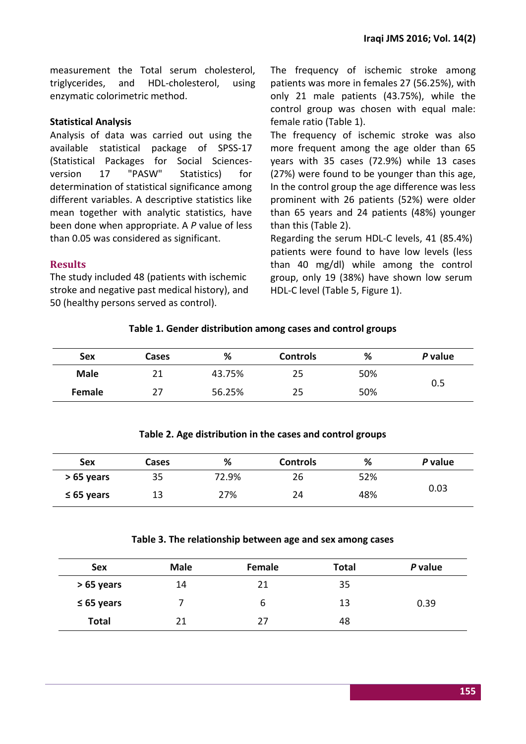measurement the Total serum cholesterol, triglycerides, and HDL-cholesterol, using enzymatic colorimetric method.

#### **Statistical Analysis**

Analysis of data was carried out using the available statistical package of SPSS-17 (Statistical Packages for Social Sciencesversion 17 "PASW" Statistics) for determination of statistical significance among different variables. A descriptive statistics like mean together with analytic statistics, have been done when appropriate. A *P* value of less than 0.05 was considered as significant.

The frequency of ischemic stroke among patients was more in females 27 (56.25%), with only 21 male patients (43.75%), while the control group was chosen with equal male: female ratio (Table 1).

The frequency of ischemic stroke was also more frequent among the age older than 65 years with 35 cases (72.9%) while 13 cases (27%) were found to be younger than this age, In the control group the age difference was less prominent with 26 patients (52%) were older than 65 years and 24 patients (48%) younger than this (Table 2).

Regarding the serum HDL-C levels, 41 (85.4%) patients were found to have low levels (less than 40 mg/dl) while among the control group, only 19 (38%) have shown low serum HDL-C level (Table 5, Figure 1).

# **Results**

The study included 48 (patients with ischemic stroke and negative past medical history), and 50 (healthy persons served as control).

# **Table 1. Gender distribution among cases and control groups**

| Sex         | <b>Cases</b> | %      | <b>Controls</b> | %   | P value |
|-------------|--------------|--------|-----------------|-----|---------|
| <b>Male</b> | 21           | 43.75% | 25              | 50% | 0.5     |
| Female      | 27           | 56.25% | 25              | 50% |         |

## **Table 2. Age distribution in the cases and control groups**

| Sex             | Cases | %     | <b>Controls</b> | %   | P value |
|-----------------|-------|-------|-----------------|-----|---------|
| $>65$ years     | 35    | 72.9% | 26              | 52% | 0.03    |
| $\leq 65$ years | 13    | 27%   | 24              | 48% |         |

#### **Table 3. The relationship between age and sex among cases**

| <b>Sex</b>      | <b>Male</b> | Female | <b>Total</b> | P value |
|-----------------|-------------|--------|--------------|---------|
| > 65 years      | 14          | 21     | 35           |         |
| $\leq 65$ years |             | b      | 13           | 0.39    |
| <b>Total</b>    | 21          | 27     | 48           |         |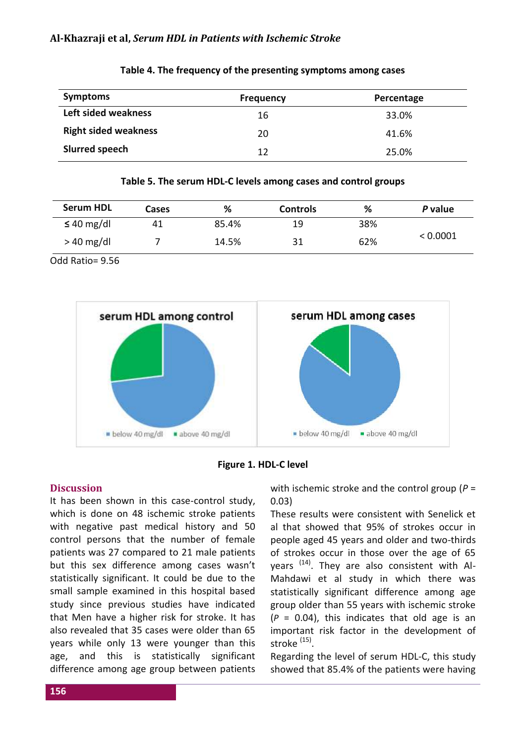#### **Al-Khazraji et al,** *Serum HDL in Patients with Ischemic Stroke*

| <b>Symptoms</b>             | <b>Frequency</b> | Percentage |
|-----------------------------|------------------|------------|
| Left sided weakness         | 16               | 33.0%      |
| <b>Right sided weakness</b> | 20               | 41.6%      |
| Slurred speech              | 12               | 25.0%      |

#### **Table 4. The frequency of the presenting symptoms among cases**

#### **Table 5. The serum HDL-C levels among cases and control groups**

| <b>Serum HDL</b> | <b>Cases</b> | %     | <b>Controls</b> | ℅   | P value  |
|------------------|--------------|-------|-----------------|-----|----------|
| $\leq 40$ mg/dl  | 41           | 85.4% | 19              | 38% | < 0.0001 |
| $>40$ mg/dl      |              | 14.5% | 31              | 62% |          |

Odd Ratio= 9.56





## **Discussion**

It has been shown in this case-control study, which is done on 48 ischemic stroke patients with negative past medical history and 50 control persons that the number of female patients was 27 compared to 21 male patients but this sex difference among cases wasn't statistically significant. It could be due to the small sample examined in this hospital based study since previous studies have indicated that Men have a higher risk for stroke. It has also revealed that 35 cases were older than 65 years while only 13 were younger than this age, and this is statistically significant difference among age group between patients with ischemic stroke and the control group (*P* = 0.03)

These results were consistent with Senelick et al that showed that 95% of strokes occur in people aged 45 years and older and two-thirds of strokes occur in those over the age of 65 years <sup>(14)</sup>. They are also consistent with Al-Mahdawi et al study in which there was statistically significant difference among age group older than 55 years with ischemic stroke  $(P = 0.04)$ , this indicates that old age is an important risk factor in the development of stroke <sup>(15)</sup>.

Regarding the level of serum HDL-C, this study showed that 85.4% of the patients were having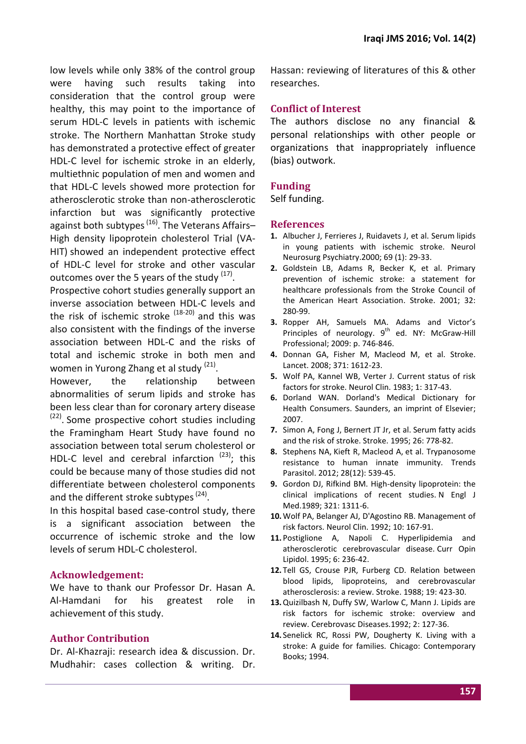low levels while only 38% of the control group were having such results taking into consideration that the control group were healthy, this may point to the importance of serum HDL-C levels in patients with ischemic stroke. The Northern Manhattan Stroke study has demonstrated a protective effect of greater HDL-C level for ischemic stroke in an elderly, multiethnic population of men and women and that HDL-C levels showed more protection for atherosclerotic stroke than non-atherosclerotic infarction but was significantly protective against both subtypes <sup>(16)</sup>. The Veterans Affairs– High density lipoprotein cholesterol Trial (VA-HIT) showed an independent protective effect of HDL-C level for stroke and other vascular outcomes over the 5 years of the study <sup>(17)</sup>.

Prospective cohort studies generally support an inverse association between HDL-C levels and the risk of ischemic stroke <sup>(18-20)</sup> and this was also consistent with the findings of the inverse association between HDL-C and the risks of total and ischemic stroke in both men and women in Yurong Zhang et al study <sup>(21)</sup>.

However, the relationship between abnormalities of serum lipids and stroke has been less clear than for coronary artery disease <sup>(22)</sup>. Some prospective cohort studies including the Framingham Heart Study have found no association between total serum cholesterol or HDL-C level and cerebral infarction  $(23)$ ; this could be because many of those studies did not differentiate between cholesterol components and the different stroke subtypes<sup>(24)</sup>.

In this hospital based case-control study, there is a significant association between the occurrence of ischemic stroke and the low levels of serum HDL-C cholesterol.

# **Acknowledgement:**

We have to thank our Professor Dr. Hasan A. Al-Hamdani for his greatest role in achievement of this study.

# **Author Contribution**

Dr. Al-Khazraji: research idea & discussion. Dr. Mudhahir: cases collection & writing. Dr. Hassan: reviewing of literatures of this & other researches.

# **Conflict of Interest**

The authors disclose no any financial & personal relationships with other people or organizations that inappropriately influence (bias) outwork.

# **Funding**

Self funding.

#### **References**

- **1.** Albucher J, Ferrieres J, Ruidavets J, et al. Serum lipids in young patients with ischemic stroke. Neurol Neurosurg Psychiatry.2000; 69 (1): 29-33.
- **2.** Goldstein LB, Adams R, Becker K, et al. Primary prevention of ischemic stroke: a statement for healthcare professionals from the Stroke Council of the American Heart Association. Stroke. 2001; 32: 280-99.
- **3.** Ropper AH, Samuels MA. Adams and Victor's Principles of neurology.  $9^{th}$  ed. NY: McGraw-Hill Professional; 2009: p. 746-846.
- **4.** Donnan GA, Fisher M, Macleod M, et al. Stroke. Lancet. 2008; 371: 1612-23.
- **5.** Wolf PA, Kannel WB, Verter J. Current status of risk factors for stroke. Neurol Clin. 1983; 1: 317-43.
- **6.** Dorland WAN. Dorland's Medical Dictionary for Health Consumers. Saunders, an imprint of Elsevier; 2007.
- **7.** Simon A, Fong J, Bernert JT Jr, et al. Serum fatty acids and the risk of stroke. Stroke. 1995; 26: 778-82.
- **8.** [Stephens NA,](http://www.ncbi.nlm.nih.gov/pubmed?term=Stephens%20NA%5BAuthor%5D&cauthor=true&cauthor_uid=23059119) [Kieft R,](http://www.ncbi.nlm.nih.gov/pubmed?term=Kieft%20R%5BAuthor%5D&cauthor=true&cauthor_uid=23059119) [Macleod A,](http://www.ncbi.nlm.nih.gov/pubmed?term=Macleod%20A%5BAuthor%5D&cauthor=true&cauthor_uid=23059119) [et](file:///F:/Hajduk%20%20SL) al. Trypanosome resistance to human innate immunity. [Trends](http://www.ncbi.nlm.nih.gov/pubmed/23059119)  [Parasitol.](http://www.ncbi.nlm.nih.gov/pubmed/23059119) 2012; 28(12): 539-45.
- **9.** Gordon DJ, Rifkind BM. High-density lipoprotein: the clinical implications of recent studies. N Engl J Med.1989; 321: 1311-6.
- **10.**Wolf PA, Belanger AJ, D'Agostino RB. Management of risk factors. Neurol Clin. 1992; 10: 167-91.
- **11.** Postiglione A, Napoli C. Hyperlipidemia and atherosclerotic cerebrovascular disease. Curr Opin Lipidol. 1995; 6: 236-42.
- **12.** Tell GS, Crouse PJR, Furberg CD. Relation between blood lipids, lipoproteins, and cerebrovascular atherosclerosis: a review. Stroke. 1988; 19: 423-30.
- **13.**Quizilbash N, Duffy SW, Warlow C, Mann J. Lipids are risk factors for ischemic stroke: overview and review. Cerebrovasc Diseases.1992; 2: 127-36.
- **14.** Senelick RC, Rossi PW, Dougherty K. Living with a stroke: A guide for families. Chicago: Contemporary Books; 1994.